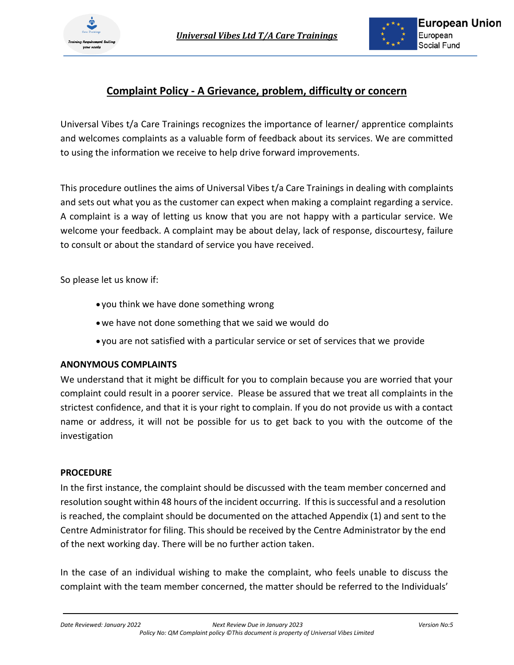



### **Complaint Policy - A Grievance, problem, difficulty or concern**

Universal Vibes t/a Care Trainings recognizes the importance of learner/ apprentice complaints and welcomes complaints as a valuable form of feedback about its services. We are committed to using the information we receive to help drive forward improvements.

This procedure outlines the aims of Universal Vibes t/a Care Trainings in dealing with complaints and sets out what you as the customer can expect when making a complaint regarding a service. A complaint is a way of letting us know that you are not happy with a particular service. We welcome your feedback. A complaint may be about delay, lack of response, discourtesy, failure to consult or about the standard of service you have received.

So please let us know if:

- you think we have done something wrong
- •we have not done something that we said we would do
- you are not satisfied with a particular service or set of services that we provide

#### **ANONYMOUS COMPLAINTS**

We understand that it might be difficult for you to complain because you are worried that your complaint could result in a poorer service. Please be assured that we treat all complaints in the strictest confidence, and that it is your right to complain. If you do not provide us with a contact name or address, it will not be possible for us to get back to you with the outcome of the investigation

#### **PROCEDURE**

In the first instance, the complaint should be discussed with the team member concerned and resolution sought within 48 hours of the incident occurring. If this is successful and a resolution is reached, the complaint should be documented on the attached Appendix (1) and sent to the Centre Administrator for filing. This should be received by the Centre Administrator by the end of the next working day. There will be no further action taken.

In the case of an individual wishing to make the complaint, who feels unable to discuss the complaint with the team member concerned, the matter should be referred to the Individuals'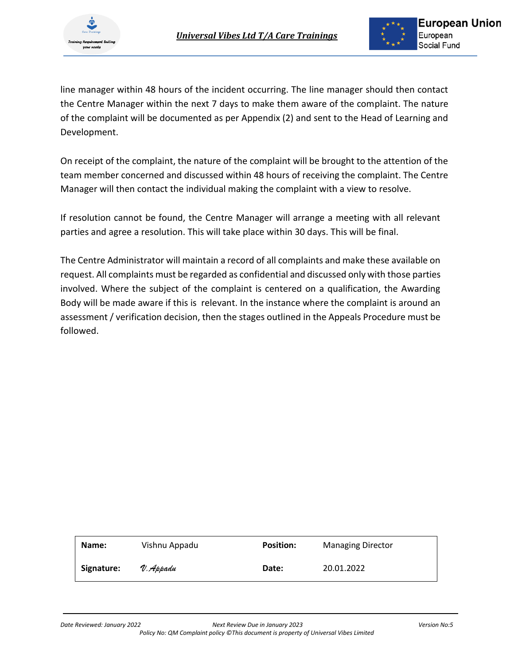

line manager within 48 hours of the incident occurring. The line manager should then contact the Centre Manager within the next 7 days to make them aware of the complaint. The nature of the complaint will be documented as per Appendix (2) and sent to the Head of Learning and Development.

On receipt of the complaint, the nature of the complaint will be brought to the attention of the team member concerned and discussed within 48 hours of receiving the complaint. The Centre Manager will then contact the individual making the complaint with a view to resolve.

If resolution cannot be found, the Centre Manager will arrange a meeting with all relevant parties and agree a resolution. This will take place within 30 days. This will be final.

The Centre Administrator will maintain a record of all complaints and make these available on request. All complaints must be regarded as confidential and discussed only with those parties involved. Where the subject of the complaint is centered on a qualification, the Awarding Body will be made aware if this is relevant. In the instance where the complaint is around an assessment / verification decision, then the stages outlined in the Appeals Procedure must be followed.

| Name:      | Vishnu Appadu | <b>Position:</b> | <b>Managing Director</b> |
|------------|---------------|------------------|--------------------------|
| Signature: | V. Appadu     | Date:            | 20.01.2022               |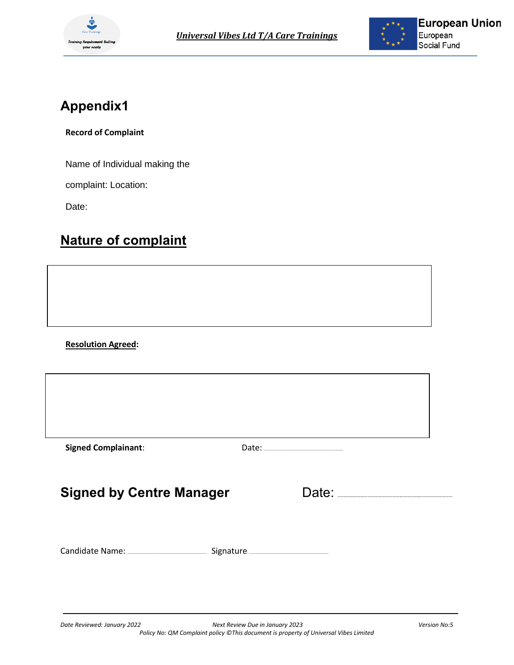



## **Appendix1**

**Record of Complaint**

Name of Individual making the

complaint: Location:

Date:

## **Nature of complaint**

**Resolution Agreed:**

| <b>Signed Complainant:</b>      |       |
|---------------------------------|-------|
| <b>Signed by Centre Manager</b> | Date: |
|                                 |       |
|                                 |       |